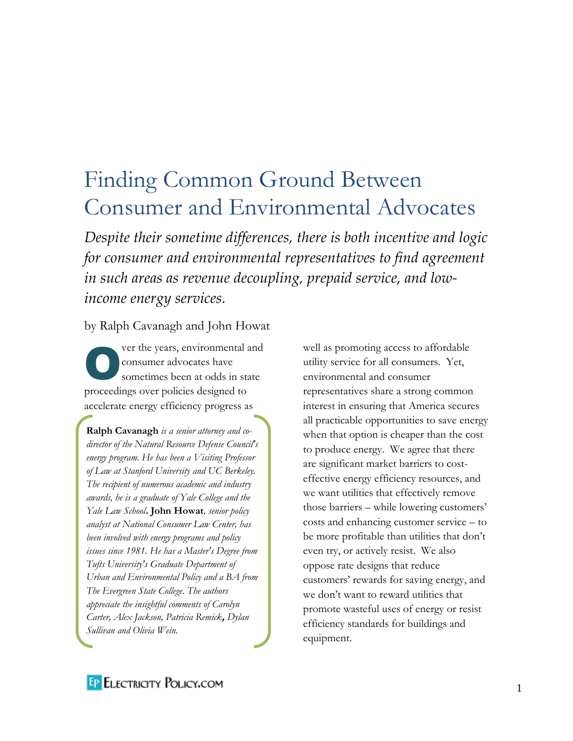# Finding Common Ground Between Consumer and Environmental Advocates

*Despite their sometime differences, there is both incentive and logic for consumer and environmental representatives to find agreement in such areas as revenue decoupling, prepaid service, and lowincome energy services.*

by Ralph Cavanagh and John Howat

ver the years, environmental and consumer advocates have sometimes been at odds in state proceedings over policies designed to accelerate energy efficiency progress as O

**Ralph Cavanagh** *is a senior attorney and codirector of the Natural Resource Defense Council's energy program. He has been a Visiting Professor of Law at Stanford University and UC Berkeley. The recipient of numerous academic and industry awards, he is a graduate of Yale College and the Yale Law School***. John Howat***, senior policy analyst at National Consumer Law Center, has been involved with energy programs and policy issues since 1981. He has a Master's Degree from Tufts University's Graduate Department of Urban and Environmental Policy and a BA from The Evergreen State College. The authors appreciate the insightful comments of Carolyn Carter, Alex Jackson, Patricia Remick***,** *Dylan Sullivan and Olivia Wein.*

well as promoting access to affordable utility service for all consumers. Yet, environmental and consumer representatives share a strong common interest in ensuring that America secures all practicable opportunities to save energy when that option is cheaper than the cost to produce energy. We agree that there are significant market barriers to costeffective energy efficiency resources, and we want utilities that effectively remove those barriers – while lowering customers' costs and enhancing customer service – to be more profitable than utilities that don't even try, or actively resist. We also oppose rate designs that reduce customers' rewards for saving energy, and we don't want to reward utilities that promote wasteful uses of energy or resist efficiency standards for buildings and equipment.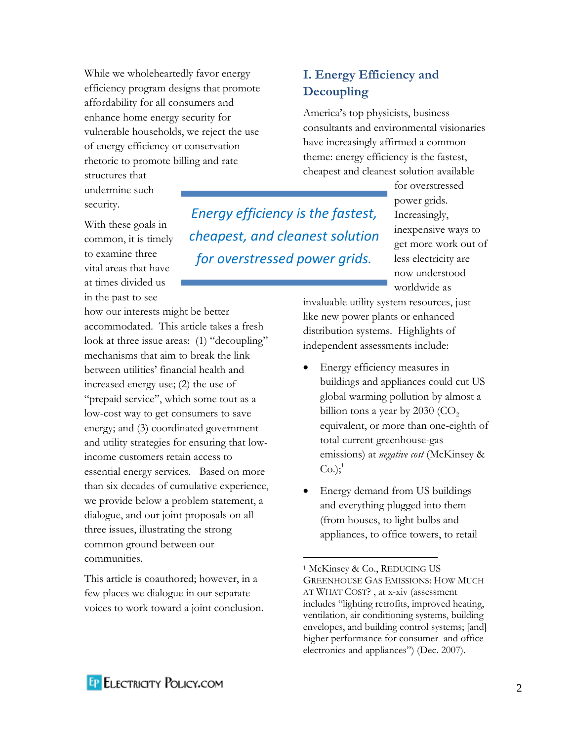While we wholeheartedly favor energy efficiency program designs that promote affordability for all consumers and enhance home energy security for vulnerable households, we reject the use of energy efficiency or conservation rhetoric to promote billing and rate structures that undermine such

security.

With these goals in common, it is timely to examine three vital areas that have at times divided us in the past to see

how our interests might be better accommodated. This article takes a fresh look at three issue areas: (1) "decoupling" mechanisms that aim to break the link between utilities' financial health and increased energy use; (2) the use of "prepaid service", which some tout as a low-cost way to get consumers to save energy; and (3) coordinated government and utility strategies for ensuring that lowincome customers retain access to essential energy services. Based on more than six decades of cumulative experience, we provide below a problem statement, a dialogue, and our joint proposals on all three issues, illustrating the strong common ground between our communities.

This article is coauthored; however, in a few places we dialogue in our separate voices to work toward a joint conclusion.

## **I. Energy Efficiency and Decoupling**

America's top physicists, business consultants and environmental visionaries have increasingly affirmed a common theme: energy efficiency is the fastest, cheapest and cleanest solution available

*Energy efficiency is the fastest, cheapest, and cleanest solution for overstressed power grids.* 

 $\overline{a}$ 

for overstressed power grids. Increasingly, inexpensive ways to get more work out of less electricity are now understood worldwide as

invaluable utility system resources, just like new power plants or enhanced distribution systems. Highlights of independent assessments include:

- Energy efficiency measures in buildings and appliances could cut US global warming pollution by almost a billion tons a year by 2030 ( $CO<sub>2</sub>$ ) equivalent, or more than one-eighth of total current greenhouse-gas emissions) at *negative cost* (McKinsey &  $Co.$ ;<sup>1</sup>
- Energy demand from US buildings and everything plugged into them (from houses, to light bulbs and appliances, to office towers, to retail

<sup>1</sup> McKinsey & Co., REDUCING US GREENHOUSE GAS EMISSIONS: HOW MUCH AT WHAT COST? , at x-xiv (assessment includes "lighting retrofits, improved heating, ventilation, air conditioning systems, building envelopes, and building control systems; [and] higher performance for consumer and office electronics and appliances") (Dec. 2007).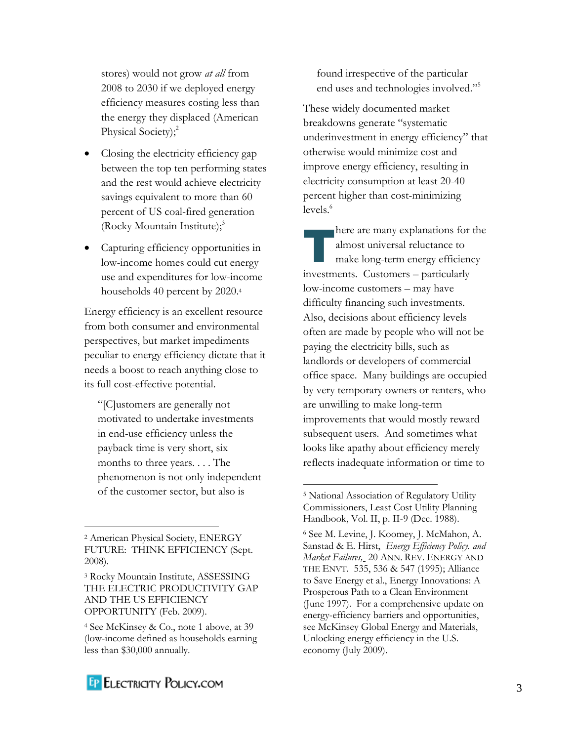stores) would not grow *at all* from 2008 to 2030 if we deployed energy efficiency measures costing less than the energy they displaced (American Physical Society);<sup>2</sup>

- Closing the electricity efficiency gap between the top ten performing states and the rest would achieve electricity savings equivalent to more than 60 percent of US coal-fired generation (Rocky Mountain Institute);<sup>3</sup>
- Capturing efficiency opportunities in low-income homes could cut energy use and expenditures for low-income households 40 percent by 2020. 4

Energy efficiency is an excellent resource from both consumer and environmental perspectives, but market impediments peculiar to energy efficiency dictate that it needs a boost to reach anything close to its full cost-effective potential.

"[C]ustomers are generally not motivated to undertake investments in end-use efficiency unless the payback time is very short, six months to three years. . . . The phenomenon is not only independent of the customer sector, but also is

 $\overline{a}$ 

found irrespective of the particular end uses and technologies involved."<sup>5</sup>

These widely documented market breakdowns generate "systematic underinvestment in energy efficiency" that otherwise would minimize cost and improve energy efficiency, resulting in electricity consumption at least 20-40 percent higher than cost-minimizing levels.<sup>6</sup>

here are many explanations for the almost universal reluctance to make long-term energy efficiency investments. Customers – particularly low-income customers – may have difficulty financing such investments. Also, decisions about efficiency levels often are made by people who will not be paying the electricity bills, such as landlords or developers of commercial office space. Many buildings are occupied by very temporary owners or renters, who are unwilling to make long-term improvements that would mostly reward subsequent users. And sometimes what looks like apathy about efficiency merely reflects inadequate information or time to T



<sup>2</sup> American Physical Society, ENERGY FUTURE: THINK EFFICIENCY (Sept. 2008).

<sup>3</sup> Rocky Mountain Institute, ASSESSING THE ELECTRIC PRODUCTIVITY GAP AND THE US EFFICIENCY OPPORTUNITY (Feb. 2009).

<sup>4</sup> See McKinsey & Co., note 1 above, at 39 (low-income defined as households earning less than \$30,000 annually.

<sup>5</sup> National Association of Regulatory Utility Commissioners, Least Cost Utility Planning Handbook, Vol. II, p. II-9 (Dec. 1988).

<sup>6</sup> See M. Levine, J. Koomey, J. McMahon, A. Sanstad & E. Hirst, *Energy Efficiency Policy. and Market Failures,* 20 ANN. REV. ENERGY AND THE ENVT. 535, 536 & 547 (1995); Alliance to Save Energy et al., Energy Innovations: A Prosperous Path to a Clean Environment (June 1997). For a comprehensive update on energy-efficiency barriers and opportunities, see McKinsey Global Energy and Materials, Unlocking energy efficiency in the U.S. economy (July 2009).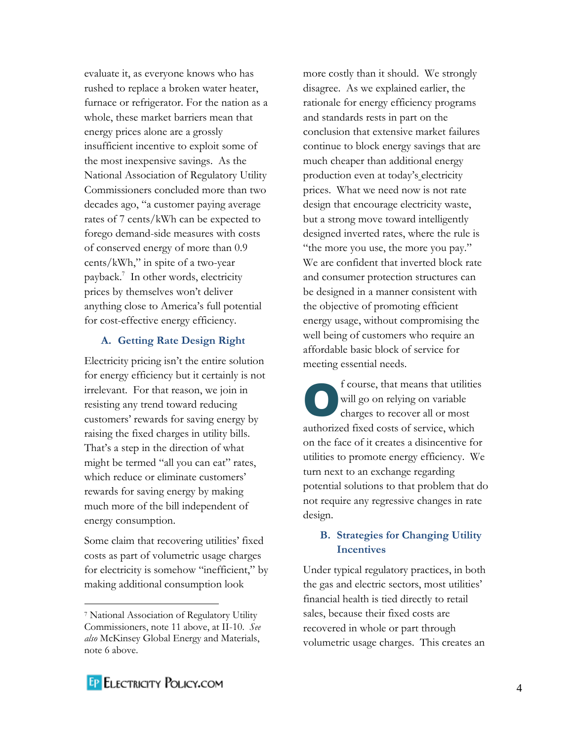evaluate it, as everyone knows who has rushed to replace a broken water heater, furnace or refrigerator. For the nation as a whole, these market barriers mean that energy prices alone are a grossly insufficient incentive to exploit some of the most inexpensive savings. As the National Association of Regulatory Utility Commissioners concluded more than two decades ago, "a customer paying average rates of 7 cents/kWh can be expected to forego demand-side measures with costs of conserved energy of more than 0.9 cents/kWh," in spite of a two-year payback.<sup>7</sup> In other words, electricity prices by themselves won't deliver anything close to America's full potential for cost-effective energy efficiency.

#### **A. Getting Rate Design Right**

Electricity pricing isn't the entire solution for energy efficiency but it certainly is not irrelevant. For that reason, we join in resisting any trend toward reducing customers' rewards for saving energy by raising the fixed charges in utility bills. That's a step in the direction of what might be termed "all you can eat" rates, which reduce or eliminate customers' rewards for saving energy by making much more of the bill independent of energy consumption.

Some claim that recovering utilities' fixed costs as part of volumetric usage charges for electricity is somehow "inefficient," by making additional consumption look

more costly than it should. We strongly disagree. As we explained earlier, the rationale for energy efficiency programs and standards rests in part on the conclusion that extensive market failures continue to block energy savings that are much cheaper than additional energy production even at today's electricity prices. What we need now is not rate design that encourage electricity waste, but a strong move toward intelligently designed inverted rates, where the rule is "the more you use, the more you pay." We are confident that inverted block rate and consumer protection structures can be designed in a manner consistent with the objective of promoting efficient energy usage, without compromising the well being of customers who require an affordable basic block of service for meeting essential needs.

f course, that means that utilities will go on relying on variable charges to recover all or most authorized fixed costs of service, which on the face of it creates a disincentive for utilities to promote energy efficiency. We turn next to an exchange regarding potential solutions to that problem that do not require any regressive changes in rate design. O

#### **B. Strategies for Changing Utility Incentives**

Under typical regulatory practices, in both the gas and electric sectors, most utilities' financial health is tied directly to retail sales, because their fixed costs are recovered in whole or part through volumetric usage charges. This creates an



<sup>7</sup> National Association of Regulatory Utility Commissioners, note 11 above, at II-10. *See also* McKinsey Global Energy and Materials, note 6 above.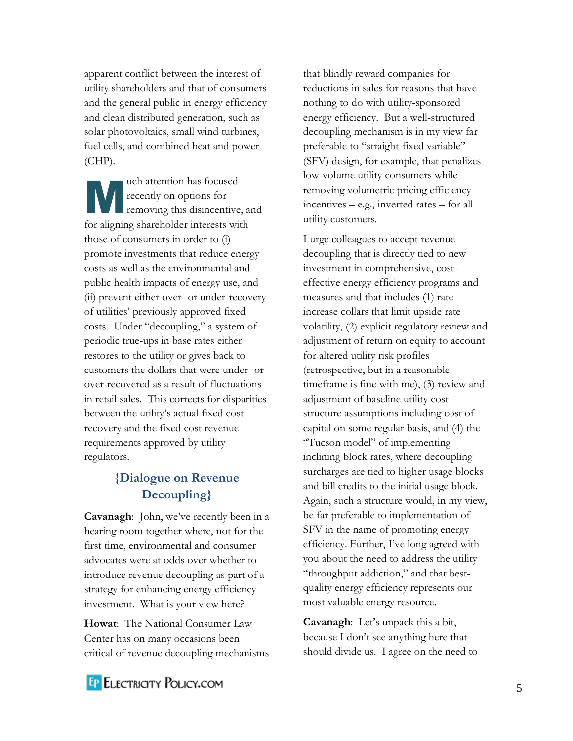apparent conflict between the interest of utility shareholders and that of consumers and the general public in energy efficiency and clean distributed generation, such as solar photovoltaics, small wind turbines, fuel cells, and combined heat and power (CHP).

uch attention has focused recently on options for removing this disincentive, and for aligning shareholder interests with those of consumers in order to (i) promote investments that reduce energy costs as well as the environmental and public health impacts of energy use, and (ii) prevent either over- or under-recovery of utilities' previously approved fixed costs. Under "decoupling," a system of periodic true-ups in base rates either restores to the utility or gives back to customers the dollars that were under- or over-recovered as a result of fluctuations in retail sales. This corrects for disparities between the utility's actual fixed cost recovery and the fixed cost revenue requirements approved by utility regulators. M

## **{Dialogue on Revenue Decoupling}**

**Cavanagh**: John, we've recently been in a hearing room together where, not for the first time, environmental and consumer advocates were at odds over whether to introduce revenue decoupling as part of a strategy for enhancing energy efficiency investment. What is your view here?

**Howat**: The National Consumer Law Center has on many occasions been critical of revenue decoupling mechanisms that blindly reward companies for reductions in sales for reasons that have nothing to do with utility-sponsored energy efficiency. But a well-structured decoupling mechanism is in my view far preferable to "straight-fixed variable" (SFV) design, for example, that penalizes low-volume utility consumers while removing volumetric pricing efficiency incentives – e.g., inverted rates – for all utility customers.

I urge colleagues to accept revenue decoupling that is directly tied to new investment in comprehensive, costeffective energy efficiency programs and measures and that includes (1) rate increase collars that limit upside rate volatility, (2) explicit regulatory review and adjustment of return on equity to account for altered utility risk profiles (retrospective, but in a reasonable timeframe is fine with me), (3) review and adjustment of baseline utility cost structure assumptions including cost of capital on some regular basis, and (4) the "Tucson model" of implementing inclining block rates, where decoupling surcharges are tied to higher usage blocks and bill credits to the initial usage block. Again, such a structure would, in my view, be far preferable to implementation of SFV in the name of promoting energy efficiency. Further, I've long agreed with you about the need to address the utility "throughput addiction," and that bestquality energy efficiency represents our most valuable energy resource.

**Cavanagh**: Let's unpack this a bit, because I don't see anything here that should divide us. I agree on the need to

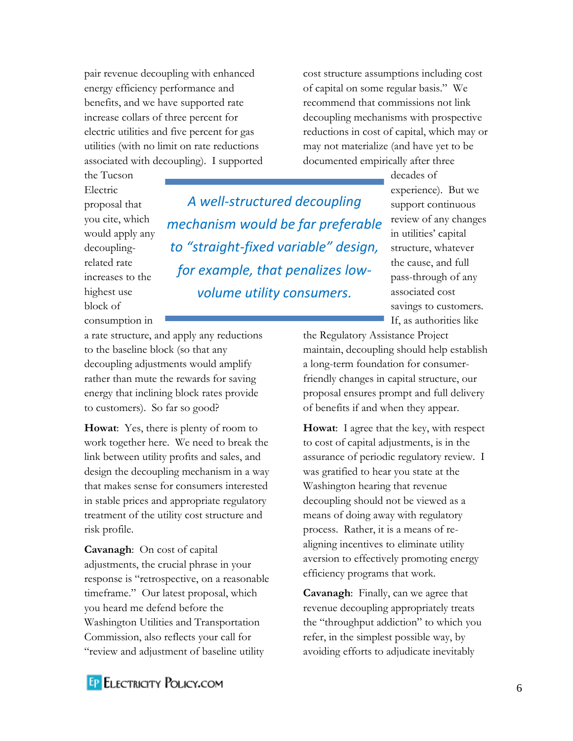pair revenue decoupling with enhanced energy efficiency performance and benefits, and we have supported rate increase collars of three percent for electric utilities and five percent for gas utilities (with no limit on rate reductions associated with decoupling). I supported

the Tucson Electric

proposal that

decouplingrelated rate

highest use block of

consumption in

you cite, which would apply any increases to the *A well-structured decoupling mechanism would be far preferable to "straight-fixed variable" design, for example, that penalizes lowvolume utility consumers.*

documented empirically after three decades of experience). But we support continuous review of any changes in utilities' capital structure, whatever the cause, and full pass-through of any associated cost

> savings to customers. If, as authorities like

a rate structure, and apply any reductions to the baseline block (so that any decoupling adjustments would amplify rather than mute the rewards for saving energy that inclining block rates provide to customers). So far so good?

**Howat**: Yes, there is plenty of room to work together here. We need to break the link between utility profits and sales, and design the decoupling mechanism in a way that makes sense for consumers interested in stable prices and appropriate regulatory treatment of the utility cost structure and risk profile.

**Cavanagh**: On cost of capital adjustments, the crucial phrase in your response is "retrospective, on a reasonable timeframe." Our latest proposal, which you heard me defend before the Washington Utilities and Transportation Commission, also reflects your call for "review and adjustment of baseline utility

the Regulatory Assistance Project maintain, decoupling should help establish a long-term foundation for consumerfriendly changes in capital structure, our proposal ensures prompt and full delivery of benefits if and when they appear.

cost structure assumptions including cost of capital on some regular basis." We recommend that commissions not link decoupling mechanisms with prospective reductions in cost of capital, which may or may not materialize (and have yet to be

**Howat**: I agree that the key, with respect to cost of capital adjustments, is in the assurance of periodic regulatory review. I was gratified to hear you state at the Washington hearing that revenue decoupling should not be viewed as a means of doing away with regulatory process. Rather, it is a means of realigning incentives to eliminate utility aversion to effectively promoting energy efficiency programs that work.

**Cavanagh**: Finally, can we agree that revenue decoupling appropriately treats the "throughput addiction" to which you refer, in the simplest possible way, by avoiding efforts to adjudicate inevitably

**EP ELECTRICITY POLICY.COM**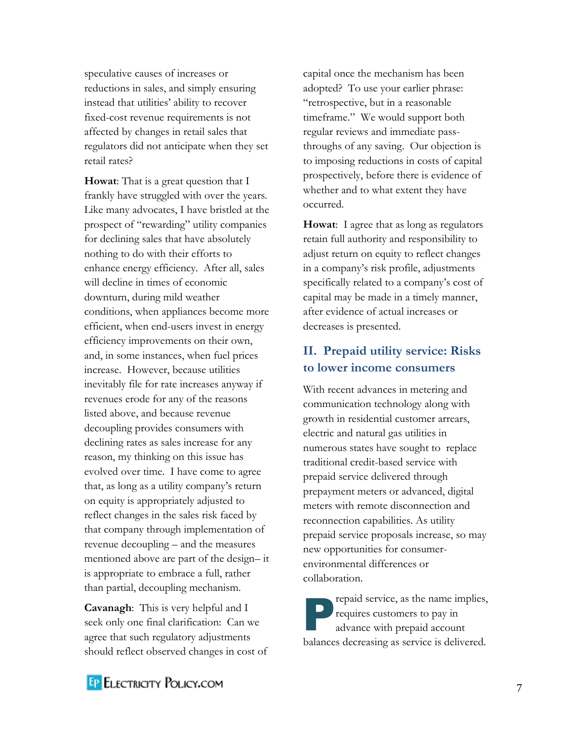speculative causes of increases or reductions in sales, and simply ensuring instead that utilities' ability to recover fixed-cost revenue requirements is not affected by changes in retail sales that regulators did not anticipate when they set retail rates?

**Howat**: That is a great question that I frankly have struggled with over the years. Like many advocates, I have bristled at the prospect of "rewarding" utility companies for declining sales that have absolutely nothing to do with their efforts to enhance energy efficiency. After all, sales will decline in times of economic downturn, during mild weather conditions, when appliances become more efficient, when end-users invest in energy efficiency improvements on their own, and, in some instances, when fuel prices increase. However, because utilities inevitably file for rate increases anyway if revenues erode for any of the reasons listed above, and because revenue decoupling provides consumers with declining rates as sales increase for any reason, my thinking on this issue has evolved over time. I have come to agree that, as long as a utility company's return on equity is appropriately adjusted to reflect changes in the sales risk faced by that company through implementation of revenue decoupling – and the measures mentioned above are part of the design– it is appropriate to embrace a full, rather than partial, decoupling mechanism.

**Cavanagh**: This is very helpful and I seek only one final clarification: Can we agree that such regulatory adjustments should reflect observed changes in cost of capital once the mechanism has been adopted? To use your earlier phrase: "retrospective, but in a reasonable timeframe." We would support both regular reviews and immediate passthroughs of any saving. Our objection is to imposing reductions in costs of capital prospectively, before there is evidence of whether and to what extent they have occurred.

**Howat**: I agree that as long as regulators retain full authority and responsibility to adjust return on equity to reflect changes in a company's risk profile, adjustments specifically related to a company's cost of capital may be made in a timely manner, after evidence of actual increases or decreases is presented.

## **II. Prepaid utility service: Risks to lower income consumers**

With recent advances in metering and communication technology along with growth in residential customer arrears, electric and natural gas utilities in numerous states have sought to replace traditional credit-based service with prepaid service delivered through prepayment meters or advanced, digital meters with remote disconnection and reconnection capabilities. As utility prepaid service proposals increase, so may new opportunities for consumerenvironmental differences or collaboration.

repaid service, as the name implies, requires customers to pay in advance with prepaid account balances decreasing as service is delivered. P

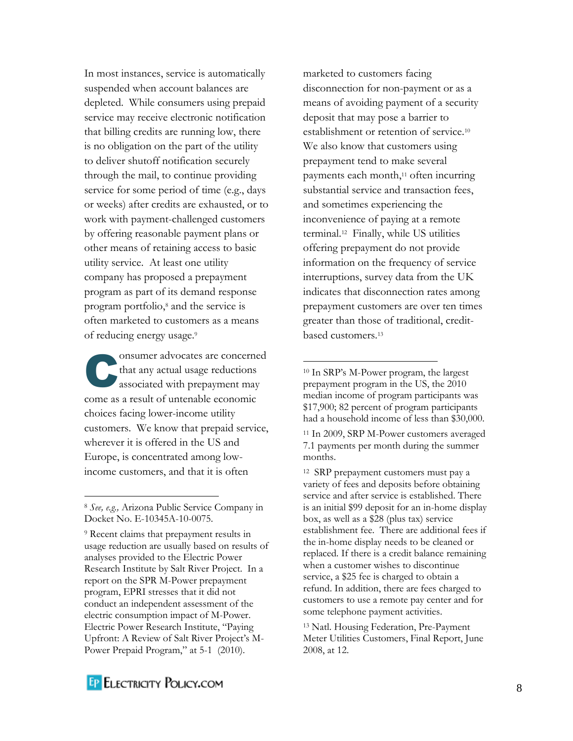In most instances, service is automatically suspended when account balances are depleted. While consumers using prepaid service may receive electronic notification that billing credits are running low, there is no obligation on the part of the utility to deliver shutoff notification securely through the mail, to continue providing service for some period of time (e.g., days or weeks) after credits are exhausted, or to work with payment-challenged customers by offering reasonable payment plans or other means of retaining access to basic utility service. At least one utility company has proposed a prepayment program as part of its demand response program portfolio, <sup>8</sup> and the service is often marketed to customers as a means of reducing energy usage.<sup>9</sup>

onsumer advocates are concerned that any actual usage reductions associated with prepayment may come as a result of untenable economic choices facing lower-income utility customers. We know that prepaid service, wherever it is offered in the US and Europe, is concentrated among lowincome customers, and that it is often C

 $\overline{a}$ 

marketed to customers facing disconnection for non-payment or as a means of avoiding payment of a security deposit that may pose a barrier to establishment or retention of service.<sup>10</sup> We also know that customers using prepayment tend to make several payments each month, <sup>11</sup> often incurring substantial service and transaction fees, and sometimes experiencing the inconvenience of paying at a remote terminal.<sup>12</sup> Finally, while US utilities offering prepayment do not provide information on the frequency of service interruptions, survey data from the UK indicates that disconnection rates among prepayment customers are over ten times greater than those of traditional, creditbased customers.<sup>13</sup>



<sup>8</sup> *See, e.g.,* Arizona Public Service Company in Docket No. E-10345A-10-0075.

<sup>9</sup> Recent claims that prepayment results in usage reduction are usually based on results of analyses provided to the Electric Power Research Institute by Salt River Project. In a report on the SPR M-Power prepayment program, EPRI stresses that it did not conduct an independent assessment of the electric consumption impact of M-Power. Electric Power Research Institute, "Paying Upfront: A Review of Salt River Project's M-Power Prepaid Program," at 5-1 (2010).

<sup>10</sup> In SRP's M-Power program, the largest prepayment program in the US, the 2010 median income of program participants was \$17,900; 82 percent of program participants had a household income of less than \$30,000.

<sup>11</sup> In 2009, SRP M-Power customers averaged 7.1 payments per month during the summer months.

<sup>12</sup> SRP prepayment customers must pay a variety of fees and deposits before obtaining service and after service is established. There is an initial \$99 deposit for an in-home display box, as well as a \$28 (plus tax) service establishment fee. There are additional fees if the in-home display needs to be cleaned or replaced. If there is a credit balance remaining when a customer wishes to discontinue service, a \$25 fee is charged to obtain a refund. In addition, there are fees charged to customers to use a remote pay center and for some telephone payment activities.

<sup>13</sup> Natl. Housing Federation, Pre-Payment Meter Utilities Customers, Final Report, June 2008, at 12.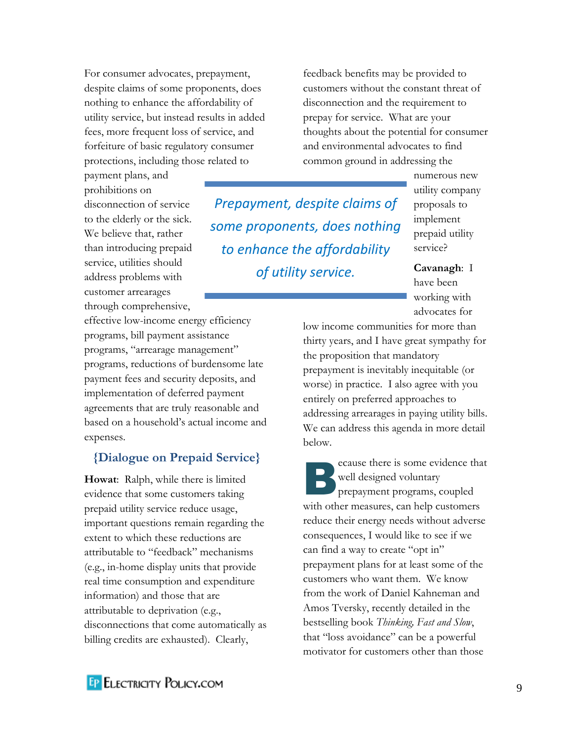For consumer advocates, prepayment, despite claims of some proponents, does nothing to enhance the affordability of utility service, but instead results in added fees, more frequent loss of service, and forfeiture of basic regulatory consumer protections, including those related to

payment plans, and prohibitions on disconnection of service to the elderly or the sick. We believe that, rather than introducing prepaid service, utilities should address problems with customer arrearages through comprehensive,

effective low-income energy efficiency programs, bill payment assistance programs, "arrearage management" programs, reductions of burdensome late payment fees and security deposits, and implementation of deferred payment agreements that are truly reasonable and based on a household's actual income and expenses.

#### **{Dialogue on Prepaid Service}**

**Howat**: Ralph, while there is limited evidence that some customers taking prepaid utility service reduce usage, important questions remain regarding the extent to which these reductions are attributable to "feedback" mechanisms (e.g., in-home display units that provide real time consumption and expenditure information) and those that are attributable to deprivation (e.g., disconnections that come automatically as billing credits are exhausted). Clearly,

feedback benefits may be provided to customers without the constant threat of disconnection and the requirement to prepay for service. What are your thoughts about the potential for consumer and environmental advocates to find common ground in addressing the

*Prepayment, despite claims of some proponents, does nothing to enhance the affordability of utility service.*

numerous new utility company proposals to implement prepaid utility service?

**Cavanagh**: I have been working with advocates for

low income communities for more than thirty years, and I have great sympathy for the proposition that mandatory prepayment is inevitably inequitable (or worse) in practice. I also agree with you entirely on preferred approaches to addressing arrearages in paying utility bills. We can address this agenda in more detail below.

ecause there is some evidence that well designed voluntary prepayment programs, coupled with other measures, can help customers reduce their energy needs without adverse consequences, I would like to see if we can find a way to create "opt in" prepayment plans for at least some of the customers who want them. We know from the work of Daniel Kahneman and Amos Tversky, recently detailed in the bestselling book *Thinking, Fast and Slow*, that "loss avoidance" can be a powerful motivator for customers other than those B

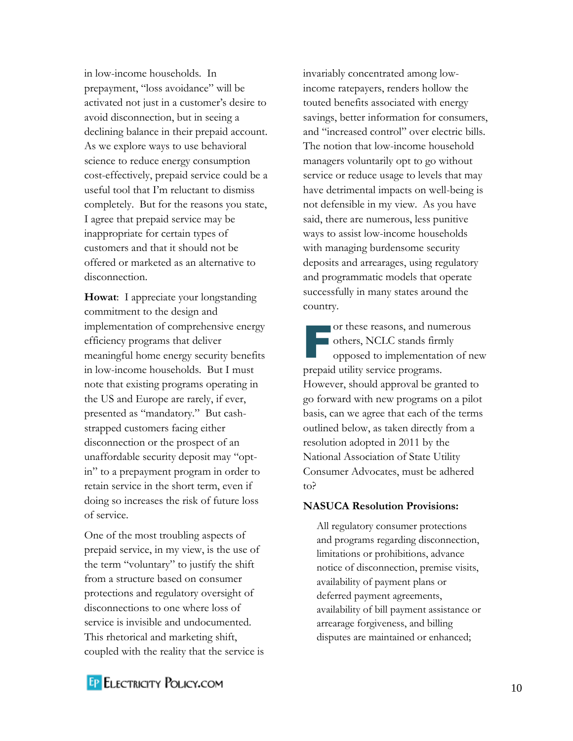in low-income households. In prepayment, "loss avoidance" will be activated not just in a customer's desire to avoid disconnection, but in seeing a declining balance in their prepaid account. As we explore ways to use behavioral science to reduce energy consumption cost-effectively, prepaid service could be a useful tool that I'm reluctant to dismiss completely. But for the reasons you state, I agree that prepaid service may be inappropriate for certain types of customers and that it should not be offered or marketed as an alternative to disconnection.

**Howat**: I appreciate your longstanding commitment to the design and implementation of comprehensive energy efficiency programs that deliver meaningful home energy security benefits in low-income households. But I must note that existing programs operating in the US and Europe are rarely, if ever, presented as "mandatory." But cashstrapped customers facing either disconnection or the prospect of an unaffordable security deposit may "optin" to a prepayment program in order to retain service in the short term, even if doing so increases the risk of future loss of service.

One of the most troubling aspects of prepaid service, in my view, is the use of the term "voluntary" to justify the shift from a structure based on consumer protections and regulatory oversight of disconnections to one where loss of service is invisible and undocumented. This rhetorical and marketing shift, coupled with the reality that the service is invariably concentrated among lowincome ratepayers, renders hollow the touted benefits associated with energy savings, better information for consumers, and "increased control" over electric bills. The notion that low-income household managers voluntarily opt to go without service or reduce usage to levels that may have detrimental impacts on well-being is not defensible in my view. As you have said, there are numerous, less punitive ways to assist low-income households with managing burdensome security deposits and arrearages, using regulatory and programmatic models that operate successfully in many states around the country.

or these reasons, and numerous others, NCLC stands firmly opposed to implementation of new prepaid utility service programs. However, should approval be granted to go forward with new programs on a pilot basis, can we agree that each of the terms outlined below, as taken directly from a resolution adopted in 2011 by the National Association of State Utility Consumer Advocates, must be adhered to? F

#### **NASUCA Resolution Provisions:**

All regulatory consumer protections and programs regarding disconnection, limitations or prohibitions, advance notice of disconnection, premise visits, availability of payment plans or deferred payment agreements, availability of bill payment assistance or arrearage forgiveness, and billing disputes are maintained or enhanced;

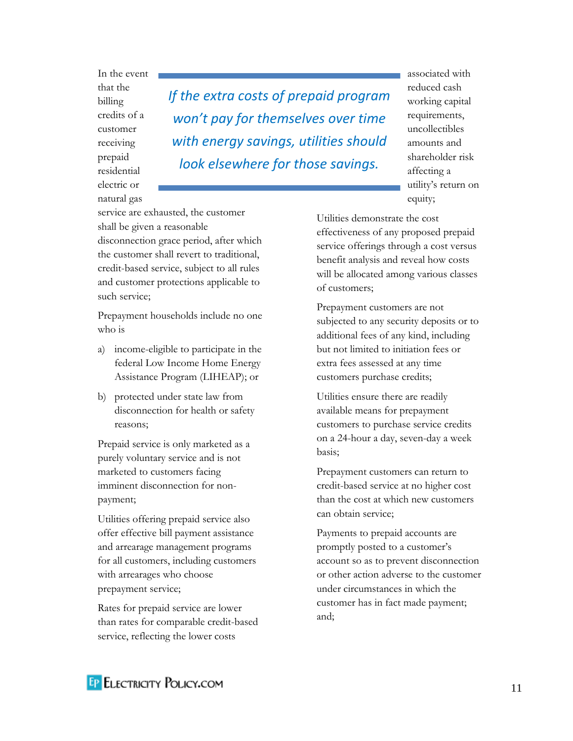In the event that the billing credits of a customer receiving prepaid residential electric or natural gas

*If the extra costs of prepaid program won't pay for themselves over time with energy savings, utilities should look elsewhere for those savings.*

associated with reduced cash working capital requirements, uncollectibles amounts and shareholder risk affecting a utility's return on equity;

service are exhausted, the customer shall be given a reasonable

disconnection grace period, after which the customer shall revert to traditional, credit-based service, subject to all rules and customer protections applicable to such service;

Prepayment households include no one who is

- a) income-eligible to participate in the federal Low Income Home Energy Assistance Program (LIHEAP); or
- b) protected under state law from disconnection for health or safety reasons;

Prepaid service is only marketed as a purely voluntary service and is not marketed to customers facing imminent disconnection for nonpayment;

Utilities offering prepaid service also offer effective bill payment assistance and arrearage management programs for all customers, including customers with arrearages who choose prepayment service;

Rates for prepaid service are lower than rates for comparable credit-based service, reflecting the lower costs

Utilities demonstrate the cost effectiveness of any proposed prepaid service offerings through a cost versus benefit analysis and reveal how costs will be allocated among various classes of customers;

Prepayment customers are not subjected to any security deposits or to additional fees of any kind, including but not limited to initiation fees or extra fees assessed at any time customers purchase credits;

Utilities ensure there are readily available means for prepayment customers to purchase service credits on a 24-hour a day, seven-day a week basis;

Prepayment customers can return to credit-based service at no higher cost than the cost at which new customers can obtain service;

Payments to prepaid accounts are promptly posted to a customer's account so as to prevent disconnection or other action adverse to the customer under circumstances in which the customer has in fact made payment; and;

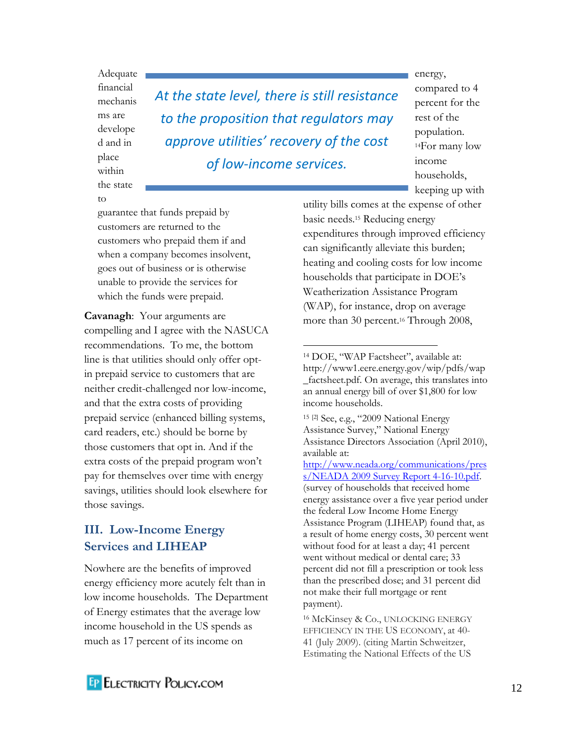Adequate financial mechanis ms are develope d and in place within the state to

*At the state level, there is still resistance to the proposition that regulators may approve utilities' recovery of the cost of low-income services.*

 $\overline{a}$ 

energy, compared to 4 percent for the rest of the population. <sup>14</sup>For many low income households, keeping up with

guarantee that funds prepaid by customers are returned to the customers who prepaid them if and when a company becomes insolvent, goes out of business or is otherwise unable to provide the services for which the funds were prepaid.

**Cavanagh**: Your arguments are compelling and I agree with the NASUCA recommendations. To me, the bottom line is that utilities should only offer optin prepaid service to customers that are neither credit-challenged nor low-income, and that the extra costs of providing prepaid service (enhanced billing systems, card readers, etc.) should be borne by those customers that opt in. And if the extra costs of the prepaid program won't pay for themselves over time with energy savings, utilities should look elsewhere for those savings.

## **III. Low-Income Energy Services and LIHEAP**

Nowhere are the benefits of improved energy efficiency more acutely felt than in low income households. The Department of Energy estimates that the average low income household in the US spends as much as 17 percent of its income on

utility bills comes at the expense of other basic needs.<sup>15</sup> Reducing energy expenditures through improved efficiency can significantly alleviate this burden; heating and cooling costs for low income households that participate in DOE's Weatherization Assistance Program (WAP), for instance, drop on average more than 30 percent.<sup>16</sup> Through 2008,

<sup>16</sup> McKinsey & Co., UNLOCKING ENERGY EFFICIENCY IN THE US ECONOMY, at 40- 41 (July 2009). (citing Martin Schweitzer, Estimating the National Effects of the US



<sup>14</sup> DOE, "WAP Factsheet", available at: http://www1.eere.energy.gov/wip/pdfs/wap \_factsheet.pdf. On average, this translates into an annual energy bill of over \$1,800 for low income households.

<sup>15</sup> [2] See, e.g., "2009 National Energy Assistance Survey," National Energy Assistance Directors Association (April 2010), available at:

[http://www.neada.org/communications/pres](http://www.neada.org/communications/press/NEADA%202009%20Survey%20Report%204-16-10.pdf) [s/NEADA 2009 Survey Report 4-16-10.pdf.](http://www.neada.org/communications/press/NEADA%202009%20Survey%20Report%204-16-10.pdf) (survey of households that received home energy assistance over a five year period under the federal Low Income Home Energy Assistance Program (LIHEAP) found that, as a result of home energy costs, 30 percent went without food for at least a day; 41 percent went without medical or dental care; 33 percent did not fill a prescription or took less than the prescribed dose; and 31 percent did not make their full mortgage or rent payment).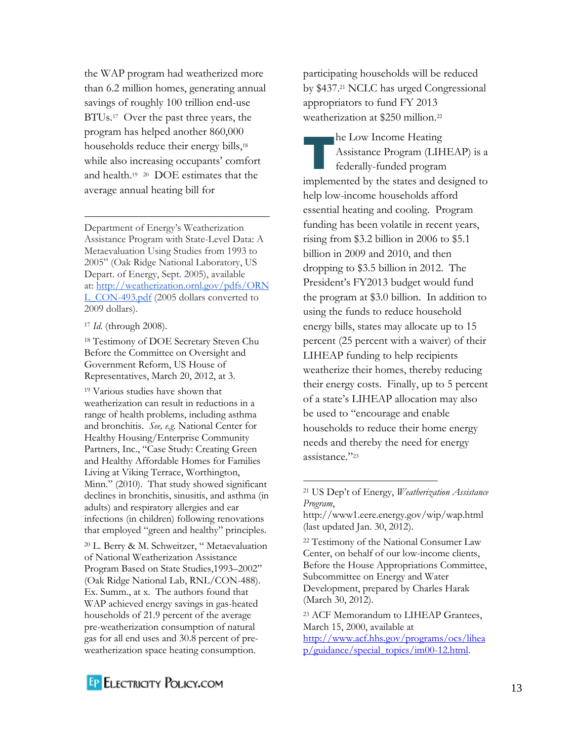the WAP program had weatherized more than 6.2 million homes, generating annual savings of roughly 100 trillion end-use BTUs.<sup>17</sup> Over the past three years, the program has helped another 860,000 households reduce their energy bills,<sup>18</sup> while also increasing occupants' comfort and health. 19 20 DOE estimates that the average annual heating bill for

Department of Energy's Weatherization Assistance Program with State-Level Data: A Metaevaluation Using Studies from 1993 to 2005" (Oak Ridge National Laboratory, US Depart. of Energy, Sept. 2005), available at: [http://weatherization.ornl.gov/pdfs/ORN](http://weatherization.ornl.gov/pdfs/ORNL_CON-493.pdf) [L\\_CON-493.pdf](http://weatherization.ornl.gov/pdfs/ORNL_CON-493.pdf) (2005 dollars converted to 2009 dollars).

<sup>17</sup> *Id*. (through 2008).

 $\overline{a}$ 

<sup>18</sup> Testimony of DOE Secretary Steven Chu Before the Committee on Oversight and Government Reform, US House of Representatives, March 20, 2012, at 3.

<sup>19</sup> Various studies have shown that weatherization can result in reductions in a range of health problems, including asthma and bronchitis. *See, e.g.* National Center for Healthy Housing/Enterprise Community Partners, Inc., "Case Study: Creating Green and Healthy Affordable Homes for Families Living at Viking Terrace, Worthington, Minn." (2010). That study showed significant declines in bronchitis, sinusitis, and asthma (in adults) and respiratory allergies and ear infections (in children) following renovations that employed "green and healthy" principles.

<sup>20</sup> L. Berry & M. Schweitzer, " Metaevaluation of National Weatherization Assistance Program Based on State Studies,1993–2002" (Oak Ridge National Lab, RNL/CON-488). Ex. Summ., at x. The authors found that WAP achieved energy savings in gas-heated households of 21.9 percent of the average pre-weatherization consumption of natural gas for all end uses and 30.8 percent of preweatherization space heating consumption.

participating households will be reduced by \$437.<sup>21</sup> NCLC has urged Congressional appropriators to fund FY 2013 weatherization at \$250 million. 22

he Low Income Heating Assistance Program (LIHEAP) is a federally-funded program implemented by the states and designed to help low-income households afford essential heating and cooling. Program funding has been volatile in recent years, rising from \$3.2 billion in 2006 to \$5.1 billion in 2009 and 2010, and then dropping to \$3.5 billion in 2012. The President's FY2013 budget would fund the program at \$3.0 billion. In addition to using the funds to reduce household energy bills, states may allocate up to 15 percent (25 percent with a waiver) of their LIHEAP funding to help recipients weatherize their homes, thereby reducing their energy costs. Finally, up to 5 percent of a state's LIHEAP allocation may also be used to "encourage and enable households to reduce their home energy needs and thereby the need for energy assistance."<sup>23</sup> T

 $\overline{a}$ 

[http://www.acf.hhs.gov/programs/ocs/lihea](http://www.acf.hhs.gov/programs/ocs/liheap/guidance/special_topics/im00-12.html) [p/guidance/special\\_topics/im00-12.html.](http://www.acf.hhs.gov/programs/ocs/liheap/guidance/special_topics/im00-12.html)



<sup>21</sup> US Dep't of Energy, *Weatherization Assistance Program*,

http://www1.eere.energy.gov/wip/wap.html (last updated Jan. 30, 2012).

<sup>22</sup> Testimony of the National Consumer Law Center, on behalf of our low-income clients, Before the House Appropriations Committee, Subcommittee on Energy and Water Development, prepared by Charles Harak (March 30, 2012).

<sup>23</sup> ACF Memorandum to LIHEAP Grantees, March 15, 2000, available at